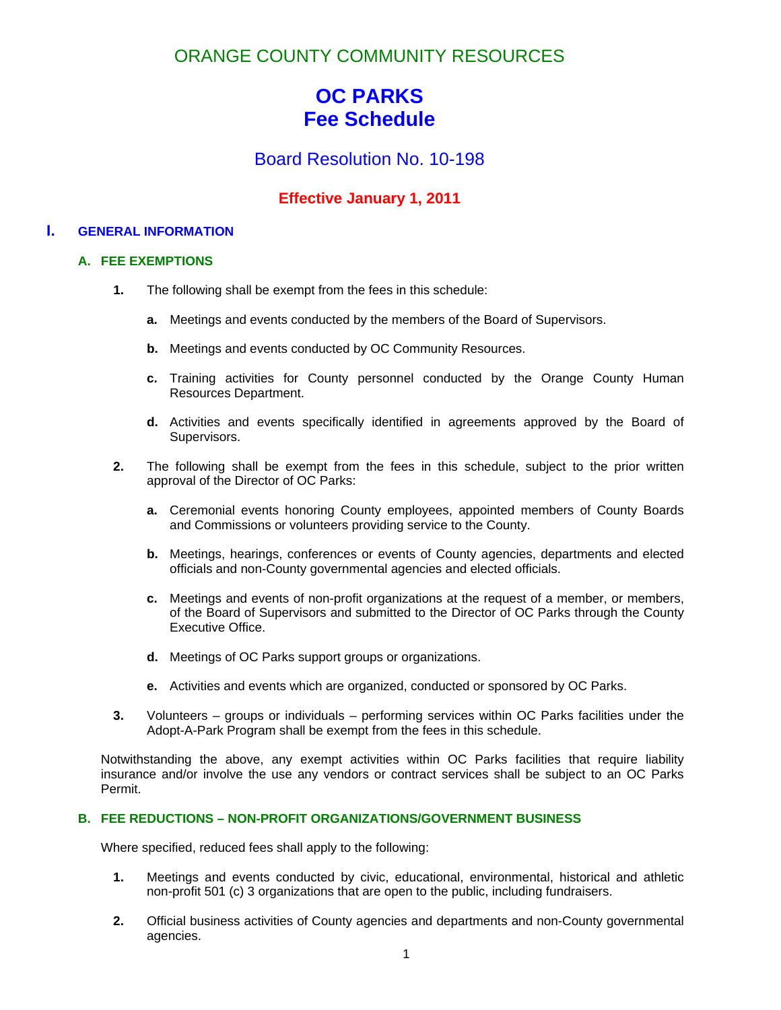ORANGE COUNTY COMMUNITY RESOURCES

# **OC PARKS Fee Schedule**

Board Resolution No. 10-198

# **Effective January 1, 2011**

# **I. GENERAL INFORMATION**

# **A. FEE EXEMPTIONS**

- **1.** The following shall be exempt from the fees in this schedule:
	- **a.** Meetings and events conducted by the members of the Board of Supervisors.
	- **b.** Meetings and events conducted by OC Community Resources.
	- **c.** Training activities for County personnel conducted by the Orange County Human Resources Department.
	- **d.** Activities and events specifically identified in agreements approved by the Board of Supervisors.
- **2.** The following shall be exempt from the fees in this schedule, subject to the prior written approval of the Director of OC Parks:
	- **a.** Ceremonial events honoring County employees, appointed members of County Boards and Commissions or volunteers providing service to the County.
	- **b.** Meetings, hearings, conferences or events of County agencies, departments and elected officials and non-County governmental agencies and elected officials.
	- **c.** Meetings and events of non-profit organizations at the request of a member, or members, of the Board of Supervisors and submitted to the Director of OC Parks through the County Executive Office.
	- **d.** Meetings of OC Parks support groups or organizations.
	- **e.** Activities and events which are organized, conducted or sponsored by OC Parks.
- **3.** Volunteers groups or individuals performing services within OC Parks facilities under the Adopt-A-Park Program shall be exempt from the fees in this schedule.

Notwithstanding the above, any exempt activities within OC Parks facilities that require liability insurance and/or involve the use any vendors or contract services shall be subject to an OC Parks Permit.

# **B. FEE REDUCTIONS – NON-PROFIT ORGANIZATIONS/GOVERNMENT BUSINESS**

Where specified, reduced fees shall apply to the following:

- **1.** Meetings and events conducted by civic, educational, environmental, historical and athletic non-profit 501 (c) 3 organizations that are open to the public, including fundraisers.
- **2.** Official business activities of County agencies and departments and non-County governmental agencies.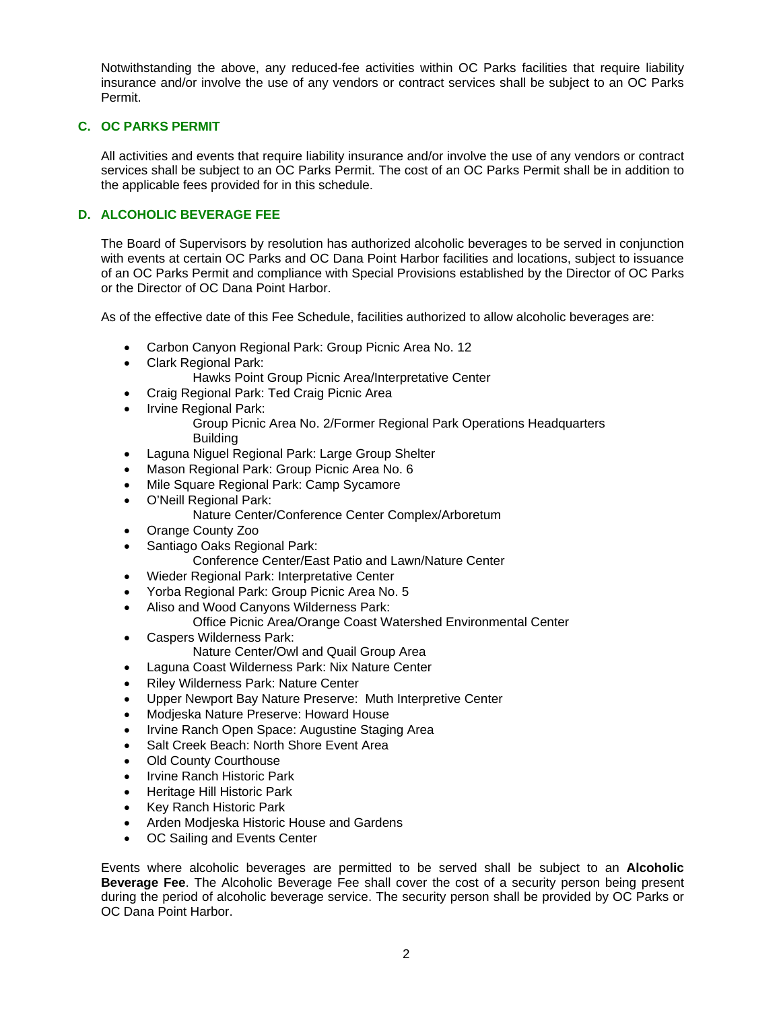Notwithstanding the above, any reduced-fee activities within OC Parks facilities that require liability insurance and/or involve the use of any vendors or contract services shall be subject to an OC Parks Permit.

# **C. OC PARKS PERMIT**

All activities and events that require liability insurance and/or involve the use of any vendors or contract services shall be subject to an OC Parks Permit. The cost of an OC Parks Permit shall be in addition to the applicable fees provided for in this schedule.

# **D. ALCOHOLIC BEVERAGE FEE**

The Board of Supervisors by resolution has authorized alcoholic beverages to be served in conjunction with events at certain OC Parks and OC Dana Point Harbor facilities and locations, subject to issuance of an OC Parks Permit and compliance with Special Provisions established by the Director of OC Parks or the Director of OC Dana Point Harbor.

As of the effective date of this Fee Schedule, facilities authorized to allow alcoholic beverages are:

- Carbon Canyon Regional Park: Group Picnic Area No. 12
- Clark Regional Park:
	- Hawks Point Group Picnic Area/Interpretative Center
- Craig Regional Park: Ted Craig Picnic Area
- Irvine Regional Park:

 Group Picnic Area No. 2/Former Regional Park Operations Headquarters Building

- Laguna Niguel Regional Park: Large Group Shelter
- Mason Regional Park: Group Picnic Area No. 6
- Mile Square Regional Park: Camp Sycamore
- O'Neill Regional Park:
	- Nature Center/Conference Center Complex/Arboretum
- Orange County Zoo
- Santiago Oaks Regional Park:
	- Conference Center/East Patio and Lawn/Nature Center
- Wieder Regional Park: Interpretative Center
- Yorba Regional Park: Group Picnic Area No. 5
- Aliso and Wood Canyons Wilderness Park:
	- Office Picnic Area/Orange Coast Watershed Environmental Center
- Caspers Wilderness Park:
	- Nature Center/Owl and Quail Group Area
- Laguna Coast Wilderness Park: Nix Nature Center
- Riley Wilderness Park: Nature Center
- Upper Newport Bay Nature Preserve: Muth Interpretive Center
- Modjeska Nature Preserve: Howard House
- Irvine Ranch Open Space: Augustine Staging Area
- Salt Creek Beach: North Shore Event Area
- Old County Courthouse
- Irvine Ranch Historic Park
- Heritage Hill Historic Park
- Key Ranch Historic Park
- Arden Modjeska Historic House and Gardens
- OC Sailing and Events Center

Events where alcoholic beverages are permitted to be served shall be subject to an **Alcoholic Beverage Fee**. The Alcoholic Beverage Fee shall cover the cost of a security person being present during the period of alcoholic beverage service. The security person shall be provided by OC Parks or OC Dana Point Harbor.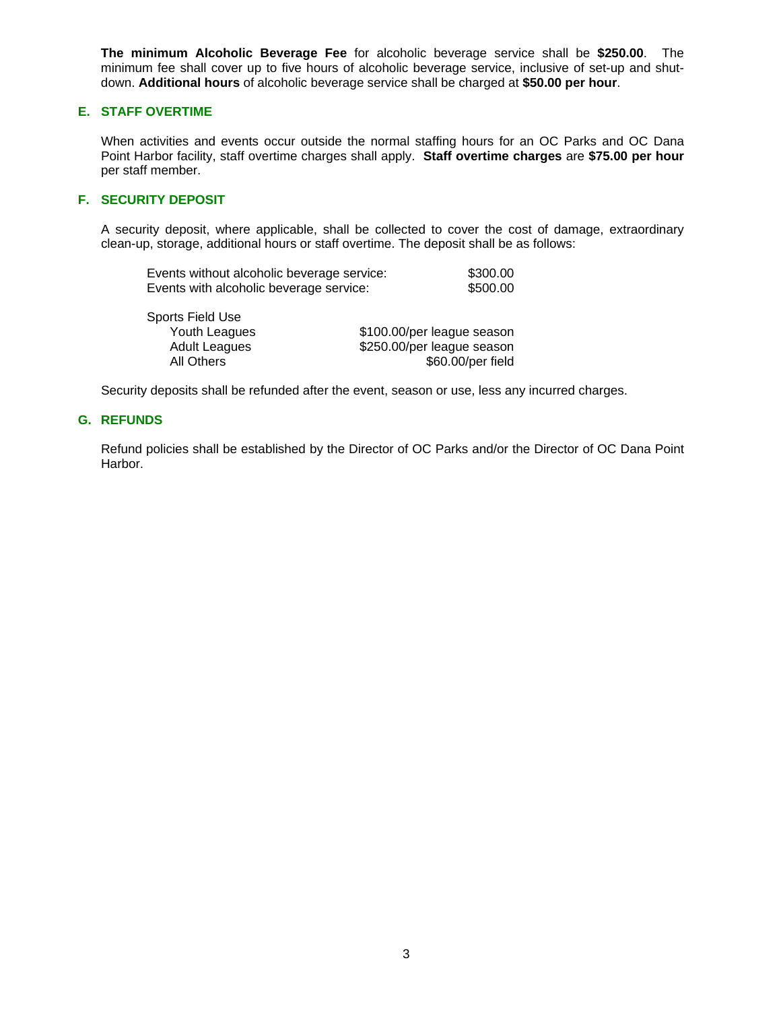**The minimum Alcoholic Beverage Fee** for alcoholic beverage service shall be **\$250.00**. The minimum fee shall cover up to five hours of alcoholic beverage service, inclusive of set-up and shutdown. **Additional hours** of alcoholic beverage service shall be charged at **\$50.00 per hour**.

# **E. STAFF OVERTIME**

When activities and events occur outside the normal staffing hours for an OC Parks and OC Dana Point Harbor facility, staff overtime charges shall apply. **Staff overtime charges** are **\$75.00 per hour** per staff member.

### **F. SECURITY DEPOSIT**

A security deposit, where applicable, shall be collected to cover the cost of damage, extraordinary clean-up, storage, additional hours or staff overtime. The deposit shall be as follows:

| Events without alcoholic beverage service: | \$300.00 |
|--------------------------------------------|----------|
| Events with alcoholic beverage service:    | \$500.00 |

| Sports Field Use     |                            |
|----------------------|----------------------------|
| Youth Leagues        | \$100.00/per league season |
| <b>Adult Leagues</b> | \$250.00/per league season |
| All Others           | \$60.00/per field          |

Security deposits shall be refunded after the event, season or use, less any incurred charges.

#### **G. REFUNDS**

 Refund policies shall be established by the Director of OC Parks and/or the Director of OC Dana Point Harbor.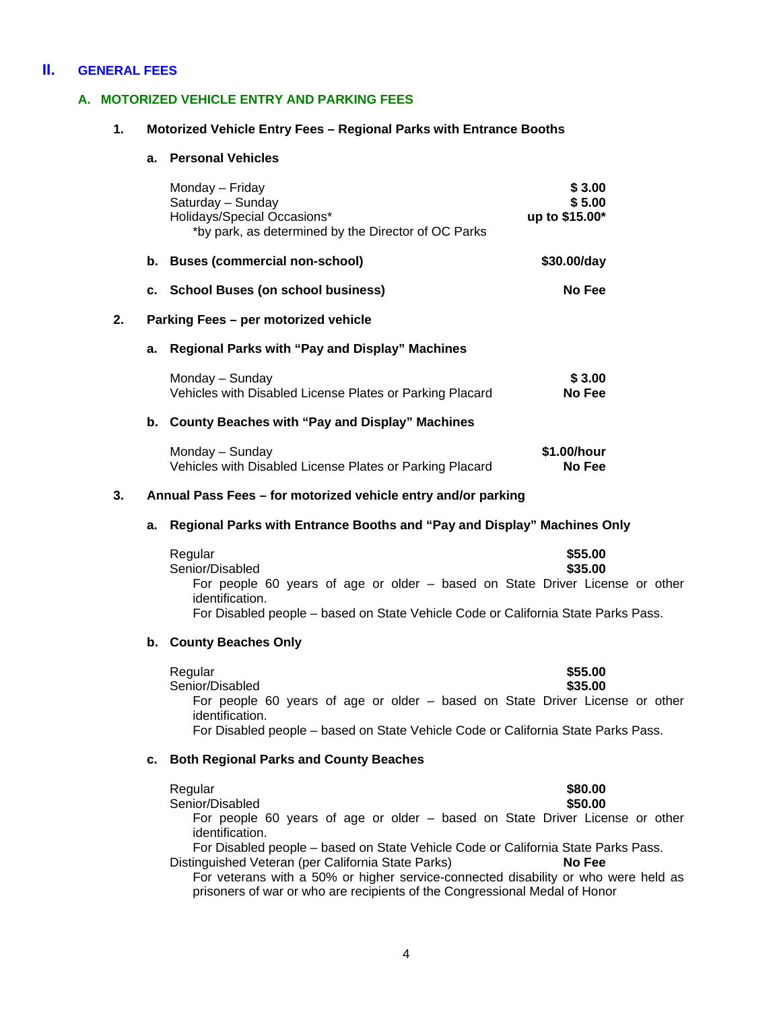# **II. GENERAL FEES**

# **A. MOTORIZED VEHICLE ENTRY AND PARKING FEES**

#### **1. Motorized Vehicle Entry Fees – Regional Parks with Entrance Booths**

# **a. Personal Vehicles**

|    |                                                               | Monday - Friday<br>Saturday - Sunday<br>Holidays/Special Occasions*<br>*by park, as determined by the Director of OC Parks                                                                                                                                               | \$3.00<br>\$5.00<br>up to \$15.00* |
|----|---------------------------------------------------------------|--------------------------------------------------------------------------------------------------------------------------------------------------------------------------------------------------------------------------------------------------------------------------|------------------------------------|
|    |                                                               | b. Buses (commercial non-school)                                                                                                                                                                                                                                         | \$30.00/day                        |
|    |                                                               | c. School Buses (on school business)                                                                                                                                                                                                                                     | No Fee                             |
| 2. |                                                               | Parking Fees - per motorized vehicle                                                                                                                                                                                                                                     |                                    |
|    | а.                                                            | Regional Parks with "Pay and Display" Machines                                                                                                                                                                                                                           |                                    |
|    |                                                               | Monday - Sunday<br>Vehicles with Disabled License Plates or Parking Placard                                                                                                                                                                                              | \$3.00<br>No Fee                   |
|    |                                                               | b. County Beaches with "Pay and Display" Machines                                                                                                                                                                                                                        |                                    |
|    |                                                               | Monday - Sunday<br>Vehicles with Disabled License Plates or Parking Placard                                                                                                                                                                                              | \$1.00/hour<br>No Fee              |
| 3. | Annual Pass Fees - for motorized vehicle entry and/or parking |                                                                                                                                                                                                                                                                          |                                    |
|    | а.                                                            | Regional Parks with Entrance Booths and "Pay and Display" Machines Only                                                                                                                                                                                                  |                                    |
|    |                                                               | Regular<br>Senior/Disabled<br>For people 60 years of age or older - based on State Driver License or other<br>identification.<br>For Disabled people - based on State Vehicle Code or California State Parks Pass.                                                       | \$55.00<br>\$35.00                 |
|    |                                                               | b. County Beaches Only                                                                                                                                                                                                                                                   |                                    |
|    |                                                               | Regular<br>Senior/Disabled<br>For people 60 years of age or older - based on State Driver License or other<br>identification.<br>For Disabled people - based on State Vehicle Code or California State Parks Pass.                                                       | \$55.00<br>\$35.00                 |
|    | с.                                                            | <b>Both Regional Parks and County Beaches</b>                                                                                                                                                                                                                            |                                    |
|    |                                                               | Regular<br>Senior/Disabled<br>For people 60 years of age or older - based on State Driver License or other<br>identification.<br>For Disabled people - based on State Vehicle Code or California State Parks Pass.<br>Distinguished Veteran (per California State Parks) | \$80.00<br>\$50.00<br>No Fee       |

For veterans with a 50% or higher service-connected disability or who were held as prisoners of war or who are recipients of the Congressional Medal of Honor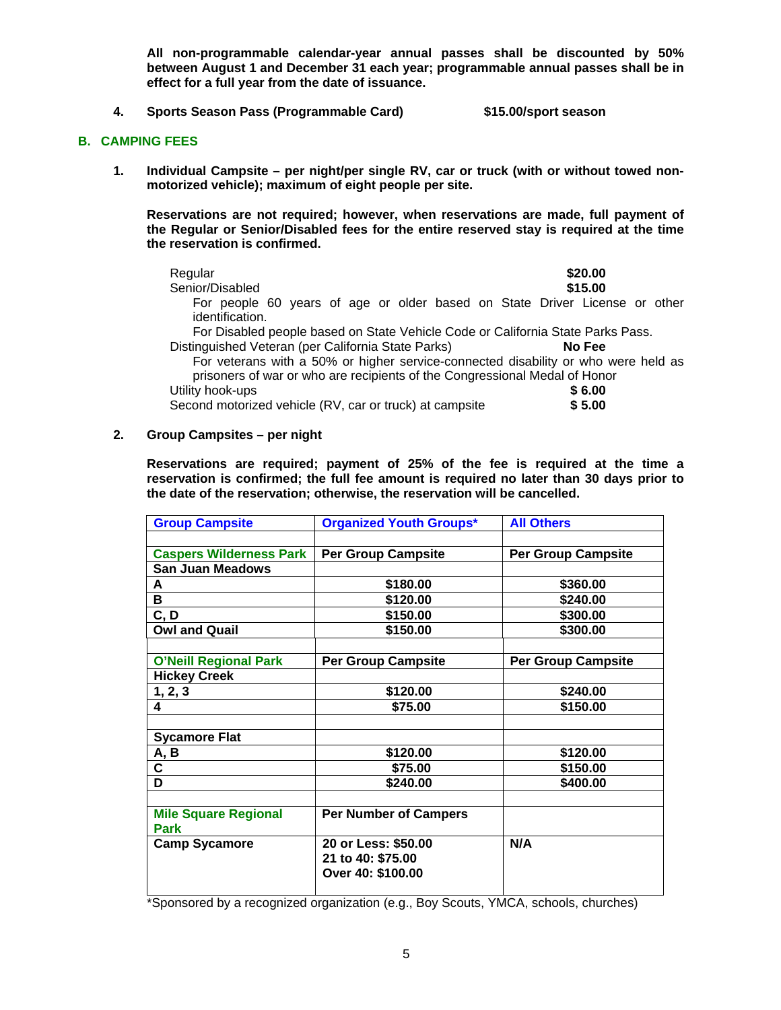**All non-programmable calendar-year annual passes shall be discounted by 50% between August 1 and December 31 each year; programmable annual passes shall be in effect for a full year from the date of issuance.** 

**4. Sports Season Pass (Programmable Card) \$15.00/sport season** 

#### **B. CAMPING FEES**

**1. Individual Campsite – per night/per single RV, car or truck (with or without towed nonmotorized vehicle); maximum of eight people per site.** 

**Reservations are not required; however, when reservations are made, full payment of the Regular or Senior/Disabled fees for the entire reserved stay is required at the time the reservation is confirmed.** 

| Regular                                                                         | \$20.00                                                                            |
|---------------------------------------------------------------------------------|------------------------------------------------------------------------------------|
| Senior/Disabled                                                                 | \$15.00                                                                            |
|                                                                                 | For people 60 years of age or older based on State Driver License or other         |
| identification.                                                                 |                                                                                    |
| For Disabled people based on State Vehicle Code or California State Parks Pass. |                                                                                    |
| Distinguished Veteran (per California State Parks)                              | No Fee                                                                             |
|                                                                                 | For veterans with a 50% or higher service-connected disability or who were held as |
| prisoners of war or who are recipients of the Congressional Medal of Honor      |                                                                                    |
| Utility hook-ups                                                                | \$6.00                                                                             |

Second motorized vehicle (RV, car or truck) at campsite **\$ 5.00** 

**2. Group Campsites – per night** 

**Reservations are required; payment of 25% of the fee is required at the time a reservation is confirmed; the full fee amount is required no later than 30 days prior to the date of the reservation; otherwise, the reservation will be cancelled.** 

| <b>Group Campsite</b>               | <b>Organized Youth Groups*</b> | <b>All Others</b>         |
|-------------------------------------|--------------------------------|---------------------------|
|                                     |                                |                           |
| <b>Caspers Wilderness Park</b>      | <b>Per Group Campsite</b>      | <b>Per Group Campsite</b> |
| <b>San Juan Meadows</b>             |                                |                           |
| A                                   | \$180.00                       | \$360.00                  |
| в                                   | \$120.00                       | \$240.00                  |
| C, D                                | \$150.00                       | \$300.00                  |
| <b>Owl and Quail</b>                | \$150.00                       | \$300.00                  |
| <b>O'Neill Regional Park</b>        | <b>Per Group Campsite</b>      | <b>Per Group Campsite</b> |
| <b>Hickey Creek</b>                 |                                |                           |
|                                     | \$120.00                       | \$240.00                  |
| 1, 2, 3<br>4                        | \$75.00                        | \$150.00                  |
|                                     |                                |                           |
| <b>Sycamore Flat</b>                |                                |                           |
| A, B                                | \$120.00                       | \$120.00                  |
| C                                   | \$75.00                        | \$150.00                  |
| D                                   | \$240.00                       | \$400.00                  |
|                                     |                                |                           |
| <b>Mile Square Regional</b><br>Park | <b>Per Number of Campers</b>   |                           |
| <b>Camp Sycamore</b>                | 20 or Less: \$50.00            | N/A                       |
|                                     | 21 to 40: \$75.00              |                           |
|                                     | Over 40: \$100.00              |                           |
|                                     |                                |                           |

\*Sponsored by a recognized organization (e.g., Boy Scouts, YMCA, schools, churches)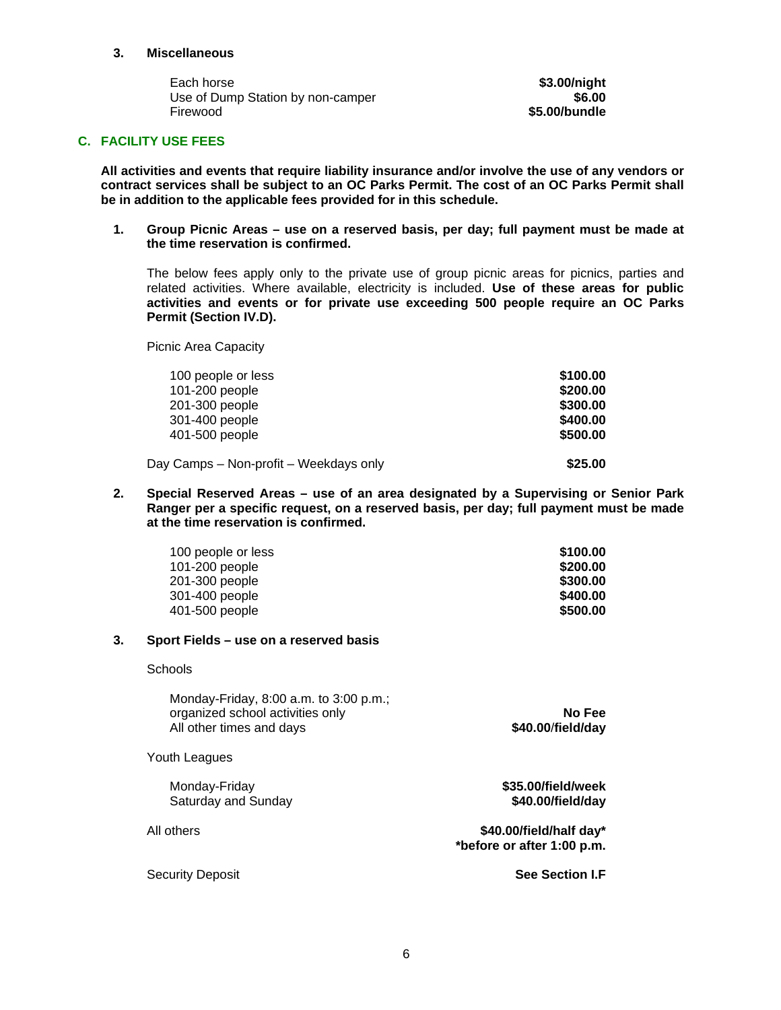#### **3. Miscellaneous**

Each horse **\$3.00/night \$3.00/night** Use of Dump Station by non-camper **1998 1998** Firewood **\$5.00/bundle** 

# **C. FACILITY USE FEES**

**All activities and events that require liability insurance and/or involve the use of any vendors or contract services shall be subject to an OC Parks Permit. The cost of an OC Parks Permit shall be in addition to the applicable fees provided for in this schedule.** 

**1. Group Picnic Areas – use on a reserved basis, per day; full payment must be made at the time reservation is confirmed.** 

The below fees apply only to the private use of group picnic areas for picnics, parties and related activities. Where available, electricity is included. **Use of these areas for public activities and events or for private use exceeding 500 people require an OC Parks Permit (Section IV.D).** 

Picnic Area Capacity

| 100 people or less                     | \$100.00 |
|----------------------------------------|----------|
| 101-200 people                         | \$200.00 |
| 201-300 people                         | \$300.00 |
| 301-400 people                         | \$400.00 |
| 401-500 people                         | \$500.00 |
| Day Camps - Non-profit - Weekdays only | \$25.00  |

**2. Special Reserved Areas – use of an area designated by a Supervising or Senior Park Ranger per a specific request, on a reserved basis, per day; full payment must be made at the time reservation is confirmed.**

| 100 people or less | \$100.00 |
|--------------------|----------|
| 101-200 people     | \$200.00 |
| 201-300 people     | \$300.00 |
| 301-400 people     | \$400.00 |
| 401-500 people     | \$500.00 |

#### **3. Sport Fields – use on a reserved basis**

**Schools** 

| Monday-Friday, 8:00 a.m. to 3:00 p.m.;<br>organized school activities only<br>All other times and days | No Fee<br>\$40.00/field/day                           |
|--------------------------------------------------------------------------------------------------------|-------------------------------------------------------|
| Youth Leagues                                                                                          |                                                       |
| Monday-Friday<br>Saturday and Sunday                                                                   | \$35.00/field/week<br>\$40.00/field/day               |
| All others                                                                                             | \$40.00/field/half day*<br>*before or after 1:00 p.m. |
| Security Deposit                                                                                       | <b>See Section LF</b>                                 |
|                                                                                                        |                                                       |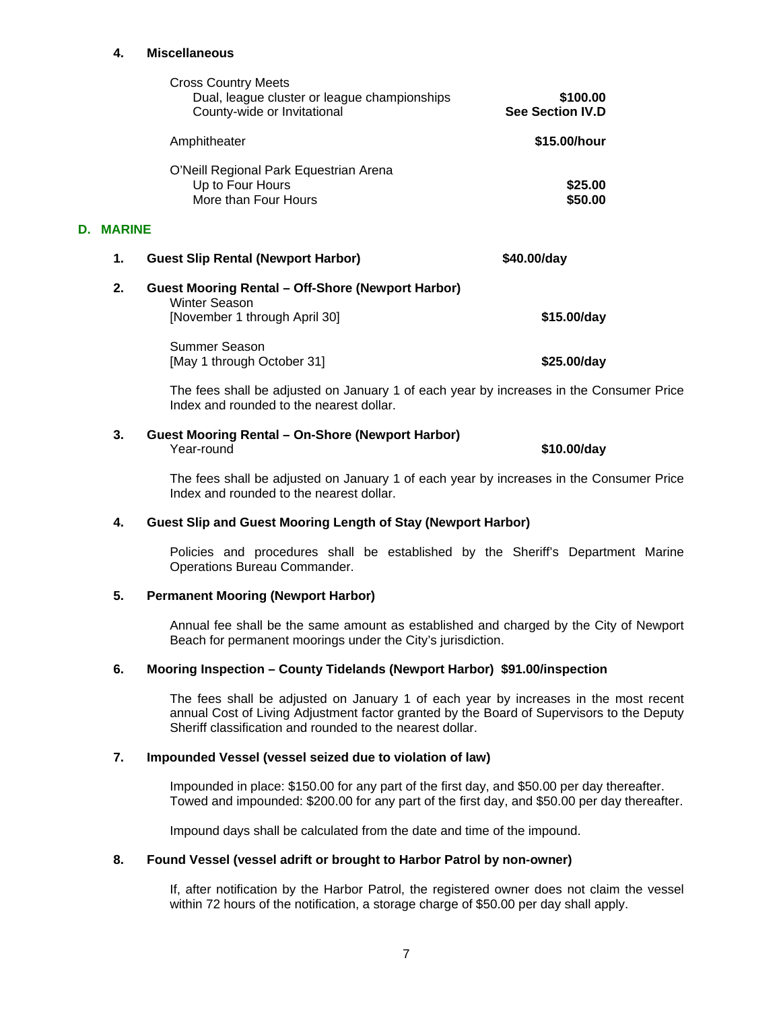#### **4. Miscellaneous**

|    |               | <b>Cross Country Meets</b><br>Dual, league cluster or league championships<br>County-wide or Invitational         | \$100.00<br><b>See Section IV.D</b> |
|----|---------------|-------------------------------------------------------------------------------------------------------------------|-------------------------------------|
|    |               | Amphitheater                                                                                                      | \$15,00/hour                        |
|    |               | O'Neill Regional Park Equestrian Arena<br>Up to Four Hours<br>More than Four Hours                                | \$25.00<br>\$50.00                  |
| D. | <b>MARINE</b> |                                                                                                                   |                                     |
|    | 1.            | <b>Guest Slip Rental (Newport Harbor)</b>                                                                         | \$40.00/day                         |
|    | 2.            | <b>Guest Mooring Rental – Off-Shore (Newport Harbor)</b><br><b>Winter Season</b><br>[November 1 through April 30] | \$15.00/day                         |
|    |               | Summer Season<br>[May 1 through October 31]                                                                       | \$25.00/day                         |

The fees shall be adjusted on January 1 of each year by increases in the Consumer Price Index and rounded to the nearest dollar.

# **3. Guest Mooring Rental – On-Shore (Newport Harbor)**  \$10.00/day

The fees shall be adjusted on January 1 of each year by increases in the Consumer Price Index and rounded to the nearest dollar.

#### **4. Guest Slip and Guest Mooring Length of Stay (Newport Harbor)**

Policies and procedures shall be established by the Sheriff's Department Marine Operations Bureau Commander.

#### **5. Permanent Mooring (Newport Harbor)**

Annual fee shall be the same amount as established and charged by the City of Newport Beach for permanent moorings under the City's jurisdiction.

#### **6. Mooring Inspection – County Tidelands (Newport Harbor) \$91.00/inspection**

The fees shall be adjusted on January 1 of each year by increases in the most recent annual Cost of Living Adjustment factor granted by the Board of Supervisors to the Deputy Sheriff classification and rounded to the nearest dollar.

#### **7. Impounded Vessel (vessel seized due to violation of law)**

Impounded in place: \$150.00 for any part of the first day, and \$50.00 per day thereafter. Towed and impounded: \$200.00 for any part of the first day, and \$50.00 per day thereafter.

Impound days shall be calculated from the date and time of the impound.

#### **8. Found Vessel (vessel adrift or brought to Harbor Patrol by non-owner)**

If, after notification by the Harbor Patrol, the registered owner does not claim the vessel within 72 hours of the notification, a storage charge of \$50.00 per day shall apply.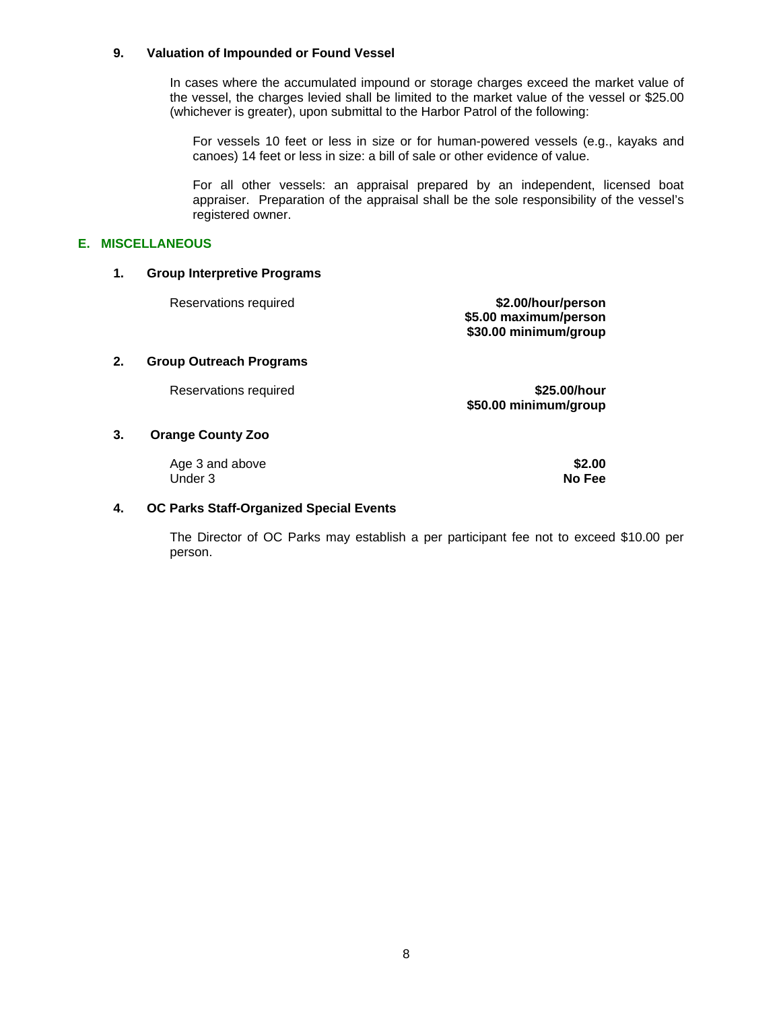#### **9. Valuation of Impounded or Found Vessel**

In cases where the accumulated impound or storage charges exceed the market value of the vessel, the charges levied shall be limited to the market value of the vessel or \$25.00 (whichever is greater), upon submittal to the Harbor Patrol of the following:

For vessels 10 feet or less in size or for human-powered vessels (e.g., kayaks and canoes) 14 feet or less in size: a bill of sale or other evidence of value.

For all other vessels: an appraisal prepared by an independent, licensed boat appraiser. Preparation of the appraisal shall be the sole responsibility of the vessel's registered owner.

#### **E. MISCELLANEOUS**

#### **1. Group Interpretive Programs**

Reservations required **\$2.00/hour/person \$5.00 maximum/person \$30.00 minimum/group** 

#### **2. Group Outreach Programs**

Reservations required **\$25.00/hour \$50.00 minimum/group** 

#### **3. Orange County Zoo**

Age 3 and above **\$2.00** Under 3 **No Fee** 

#### **4. OC Parks Staff-Organized Special Events**

The Director of OC Parks may establish a per participant fee not to exceed \$10.00 per person.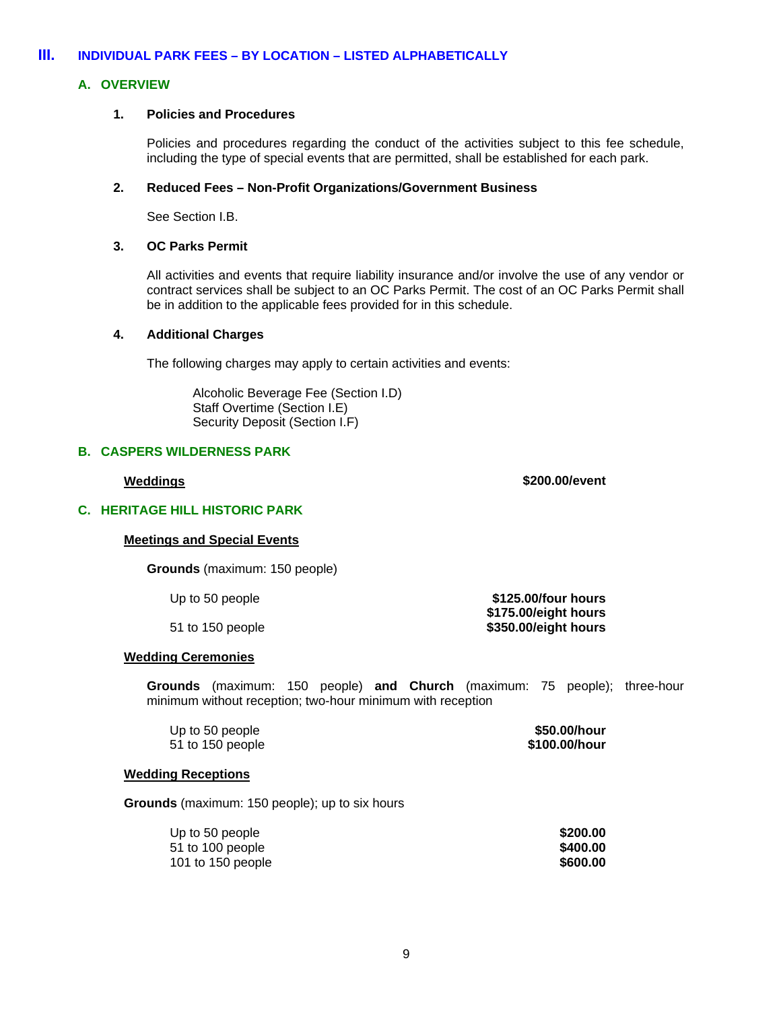# **III. INDIVIDUAL PARK FEES – BY LOCATION – LISTED ALPHABETICALLY**

# **A. OVERVIEW**

#### **1. Policies and Procedures**

Policies and procedures regarding the conduct of the activities subject to this fee schedule, including the type of special events that are permitted, shall be established for each park.

#### **2. Reduced Fees – Non-Profit Organizations/Government Business**

See Section I.B.

#### **3. OC Parks Permit**

All activities and events that require liability insurance and/or involve the use of any vendor or contract services shall be subject to an OC Parks Permit. The cost of an OC Parks Permit shall be in addition to the applicable fees provided for in this schedule.

#### **4. Additional Charges**

The following charges may apply to certain activities and events:

Alcoholic Beverage Fee (Section I.D) Staff Overtime (Section I.E) Security Deposit (Section I.F)

### **B. CASPERS WILDERNESS PARK**

# **Weddings \$200.00/event**

# **C. HERITAGE HILL HISTORIC PARK**

## **Meetings and Special Events**

 **Grounds** (maximum: 150 people)

Up to 50 people **buying the state of the S125.00/four hours \$175.00/eight hours**  51 to 150 people **\$350.00/eight hours** 

#### **Wedding Ceremonies**

 **Grounds** (maximum: 150 people) **and Church** (maximum: 75 people); three-hour minimum without reception; two-hour minimum with reception

| Up to 50 people  | \$50.00/hour  |
|------------------|---------------|
| 51 to 150 people | \$100.00/hour |

#### **Wedding Receptions**

**Grounds** (maximum: 150 people); up to six hours

| Up to 50 people   | \$200.00 |
|-------------------|----------|
| 51 to 100 people  | \$400.00 |
| 101 to 150 people | \$600.00 |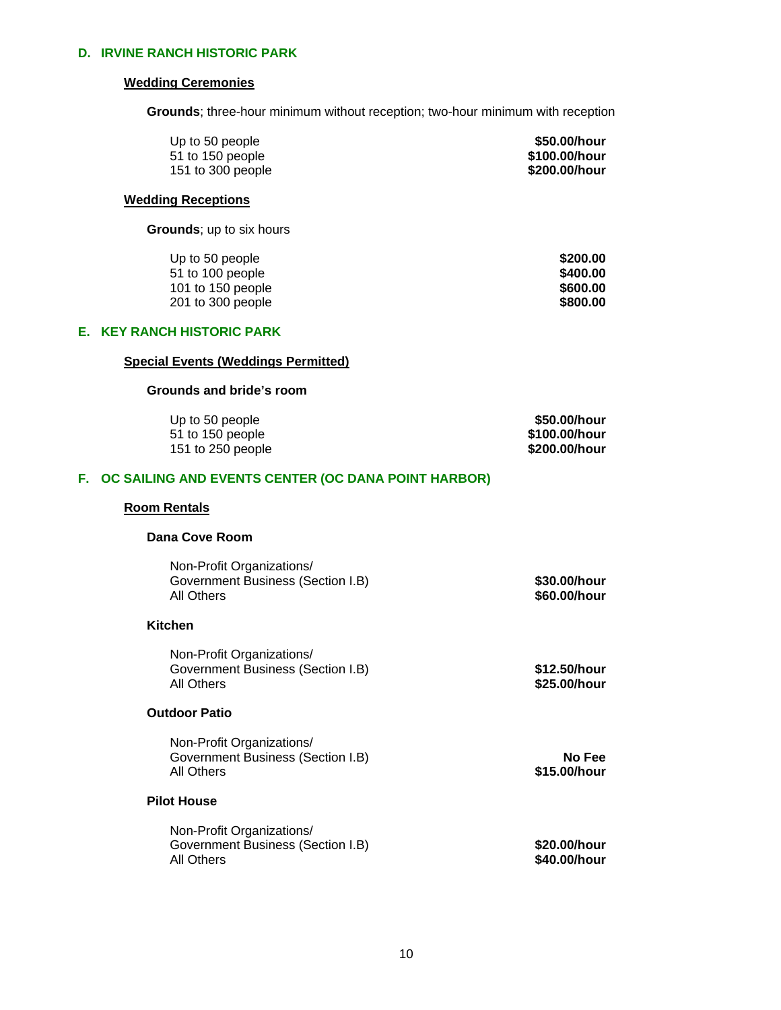# **D. IRVINE RANCH HISTORIC PARK**

#### **Wedding Ceremonies**

**Grounds**; three-hour minimum without reception; two-hour minimum with reception

| Up to 50 people   | \$50.00/hour  |
|-------------------|---------------|
| 51 to 150 people  | \$100.00/hour |
| 151 to 300 people | \$200.00/hour |

#### **Wedding Receptions**

 **Grounds**; up to six hours

| Up to 50 people   | \$200.00 |
|-------------------|----------|
| 51 to 100 people  | \$400.00 |
| 101 to 150 people | \$600.00 |
| 201 to 300 people | \$800,00 |

# **E. KEY RANCH HISTORIC PARK**

# **Special Events (Weddings Permitted)**

#### **Grounds and bride's room**

| Up to 50 people   | \$50.00/hour  |
|-------------------|---------------|
| 51 to 150 people  | \$100.00/hour |
| 151 to 250 people | \$200.00/hour |

# **F. OC SAILING AND EVENTS CENTER (OC DANA POINT HARBOR)**

# **Room Rentals**

#### **Dana Cove Room**

| Non-Profit Organizations/                       |                              |
|-------------------------------------------------|------------------------------|
| Government Business (Section I.B)<br>All Others | \$30.00/hour<br>\$60.00/hour |
|                                                 |                              |

# **Kitchen**

| Non-Profit Organizations/                       |                              |
|-------------------------------------------------|------------------------------|
| Government Business (Section I.B)<br>All Others | \$12.50/hour<br>\$25.00/hour |
|                                                 |                              |

# **Outdoor Patio**

| Non-Profit Organizations/         |              |
|-----------------------------------|--------------|
| Government Business (Section I.B) | No Fee       |
| All Others                        | \$15.00/hour |

# **Pilot House**

| Non-Profit Organizations/         |              |
|-----------------------------------|--------------|
| Government Business (Section I.B) | \$20.00/hour |
| All Others                        | \$40.00/hour |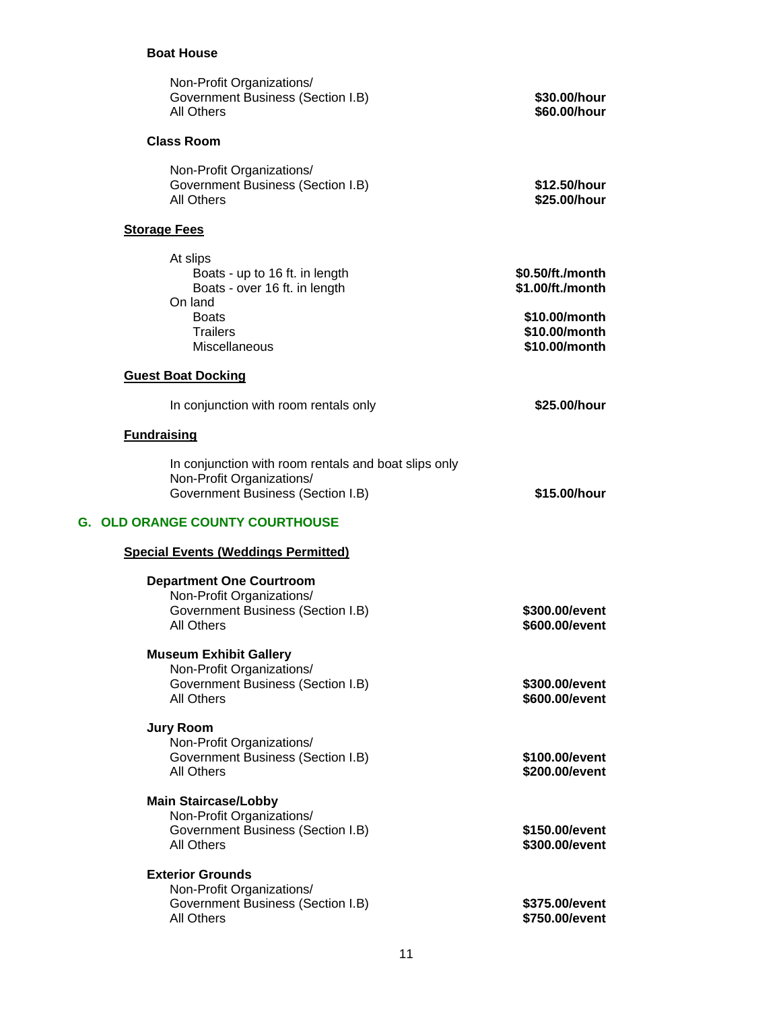# **Boat House**

| Non-Profit Organizations/<br><b>Government Business (Section I.B)</b><br>All Others                                    | \$30.00/hour<br>\$60.00/hour                    |
|------------------------------------------------------------------------------------------------------------------------|-------------------------------------------------|
| <b>Class Room</b>                                                                                                      |                                                 |
| Non-Profit Organizations/<br>Government Business (Section I.B)<br>All Others                                           | \$12.50/hour<br>\$25.00/hour                    |
| <b>Storage Fees</b>                                                                                                    |                                                 |
| At slips<br>Boats - up to 16 ft. in length<br>Boats - over 16 ft. in length<br>On land                                 | \$0.50/ft./month<br>\$1.00/ft./month            |
| <b>Boats</b><br><b>Trailers</b><br><b>Miscellaneous</b>                                                                | \$10.00/month<br>\$10.00/month<br>\$10.00/month |
| <b>Guest Boat Docking</b>                                                                                              |                                                 |
| In conjunction with room rentals only                                                                                  | \$25.00/hour                                    |
| <b>Fundraising</b>                                                                                                     |                                                 |
| In conjunction with room rentals and boat slips only<br>Non-Profit Organizations/<br>Government Business (Section I.B) | \$15.00/hour                                    |
| <b>G. OLD ORANGE COUNTY COURTHOUSE</b>                                                                                 |                                                 |
| <b>Special Events (Weddings Permitted)</b>                                                                             |                                                 |
| <b>Department One Courtroom</b><br>Non-Profit Organizations/<br>Government Business (Section I.B)<br><b>All Others</b> | \$300.00/event<br>\$600.00/event                |
| <b>Museum Exhibit Gallery</b><br>Non-Profit Organizations/<br>Government Business (Section I.B)<br><b>All Others</b>   | \$300.00/event<br>\$600.00/event                |
| <b>Jury Room</b><br>Non-Profit Organizations/                                                                          |                                                 |
| Government Business (Section I.B)<br>All Others                                                                        | \$100.00/event<br>\$200.00/event                |
| <b>Main Staircase/Lobby</b><br>Non-Profit Organizations/<br>Government Business (Section I.B)<br><b>All Others</b>     | \$150.00/event<br>\$300.00/event                |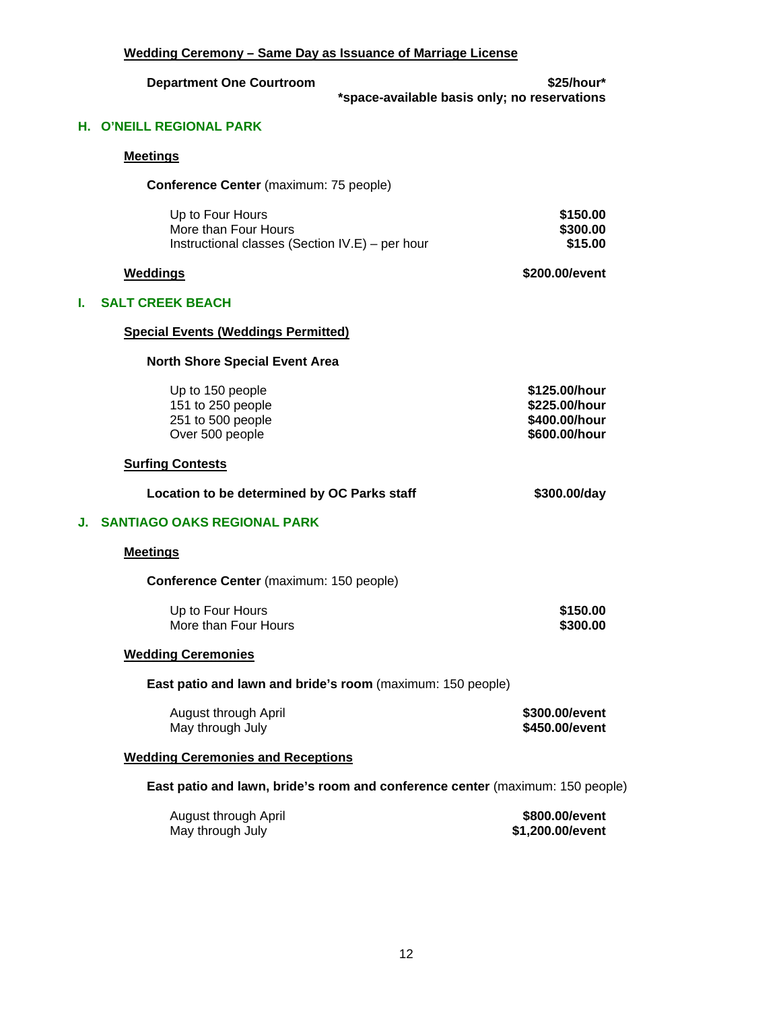|      | Wedding Ceremony - Same Day as Issuance of Marriage License                                 |                                                                  |  |
|------|---------------------------------------------------------------------------------------------|------------------------------------------------------------------|--|
|      | <b>Department One Courtroom</b>                                                             | \$25/hour*<br>*space-available basis only; no reservations       |  |
| Н. . | <b>O'NEILL REGIONAL PARK</b>                                                                |                                                                  |  |
|      | <b>Meetings</b>                                                                             |                                                                  |  |
|      | Conference Center (maximum: 75 people)                                                      |                                                                  |  |
|      | Up to Four Hours<br>More than Four Hours<br>Instructional classes (Section IV.E) – per hour | \$150.00<br>\$300.00<br>\$15.00                                  |  |
|      | <b>Weddings</b>                                                                             | \$200.00/event                                                   |  |
| L.   | <b>SALT CREEK BEACH</b>                                                                     |                                                                  |  |
|      | <b>Special Events (Weddings Permitted)</b>                                                  |                                                                  |  |
|      | <b>North Shore Special Event Area</b>                                                       |                                                                  |  |
|      | Up to 150 people<br>151 to 250 people<br>251 to 500 people<br>Over 500 people               | \$125.00/hour<br>\$225.00/hour<br>\$400.00/hour<br>\$600.00/hour |  |
|      | <b>Surfing Contests</b>                                                                     |                                                                  |  |
|      | Location to be determined by OC Parks staff                                                 | \$300.00/day                                                     |  |
| J.   | <b>SANTIAGO OAKS REGIONAL PARK</b>                                                          |                                                                  |  |
|      | <b>Meetings</b>                                                                             |                                                                  |  |
|      | Conference Center (maximum: 150 people)                                                     |                                                                  |  |
|      | Up to Four Hours<br>More than Four Hours                                                    | \$150.00<br>\$300.00                                             |  |
|      | <b>Wedding Ceremonies</b>                                                                   |                                                                  |  |
|      | East patio and lawn and bride's room (maximum: 150 people)                                  |                                                                  |  |
|      | August through April<br>May through July                                                    | \$300.00/event<br>\$450.00/event                                 |  |
|      | <b>Wedding Ceremonies and Receptions</b>                                                    |                                                                  |  |
|      | East patio and lawn, bride's room and conference center (maximum: 150 people)               |                                                                  |  |
|      | August through April<br>May through July                                                    | \$800.00/event<br>\$1,200.00/event                               |  |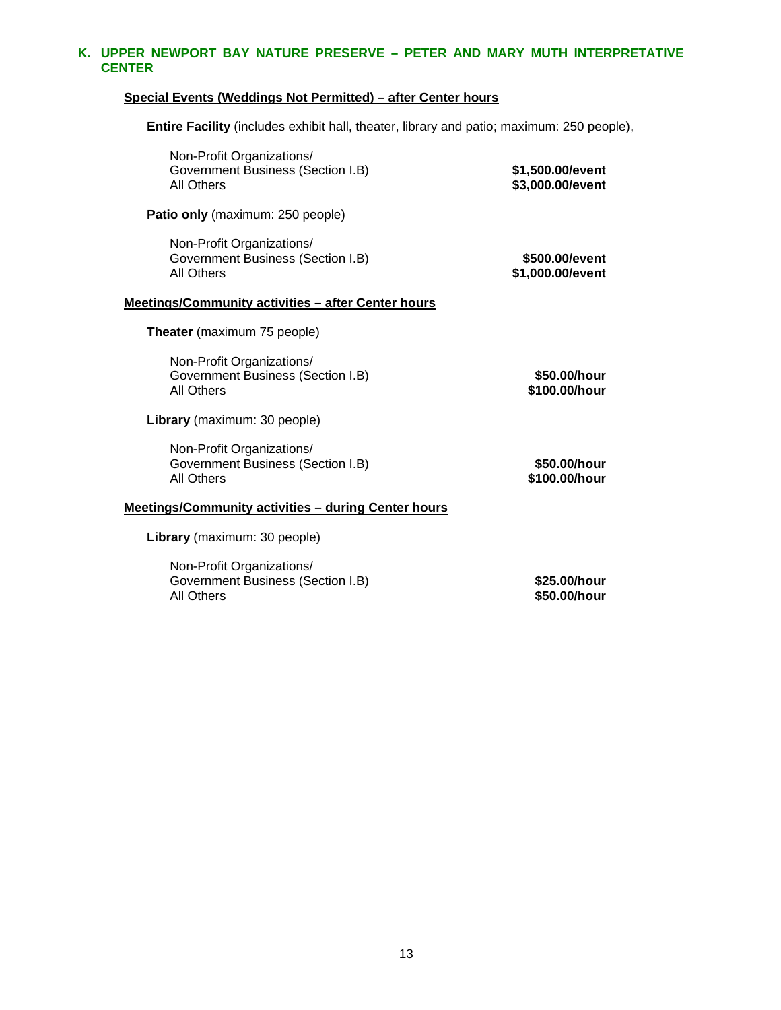# **K. UPPER NEWPORT BAY NATURE PRESERVE – PETER AND MARY MUTH INTERPRETATIVE CENTER**

# **Special Events (Weddings Not Permitted) – after Center hours**

 **Entire Facility** (includes exhibit hall, theater, library and patio; maximum: 250 people),

| \$1,500.00/event<br>\$3,000.00/event | Non-Profit Organizations/<br>Government Business (Section I.B)<br><b>All Others</b> |
|--------------------------------------|-------------------------------------------------------------------------------------|
|                                      | Patio only (maximum: 250 people)                                                    |
| \$500.00/event<br>\$1,000.00/event   | Non-Profit Organizations/<br>Government Business (Section I.B)<br><b>All Others</b> |
|                                      | Meetings/Community activities - after Center hours                                  |
|                                      | <b>Theater</b> (maximum 75 people)                                                  |
| \$50.00/hour<br>\$100.00/hour        | Non-Profit Organizations/<br>Government Business (Section I.B)<br><b>All Others</b> |
|                                      | Library (maximum: 30 people)                                                        |
| \$50.00/hour<br>\$100.00/hour        | Non-Profit Organizations/<br>Government Business (Section I.B)<br><b>All Others</b> |
|                                      | <b>Meetings/Community activities - during Center hours</b>                          |
|                                      | Library (maximum: 30 people)                                                        |
| \$25.00/hour<br>\$50.00/hour         | Non-Profit Organizations/<br>Government Business (Section I.B)<br>All Others        |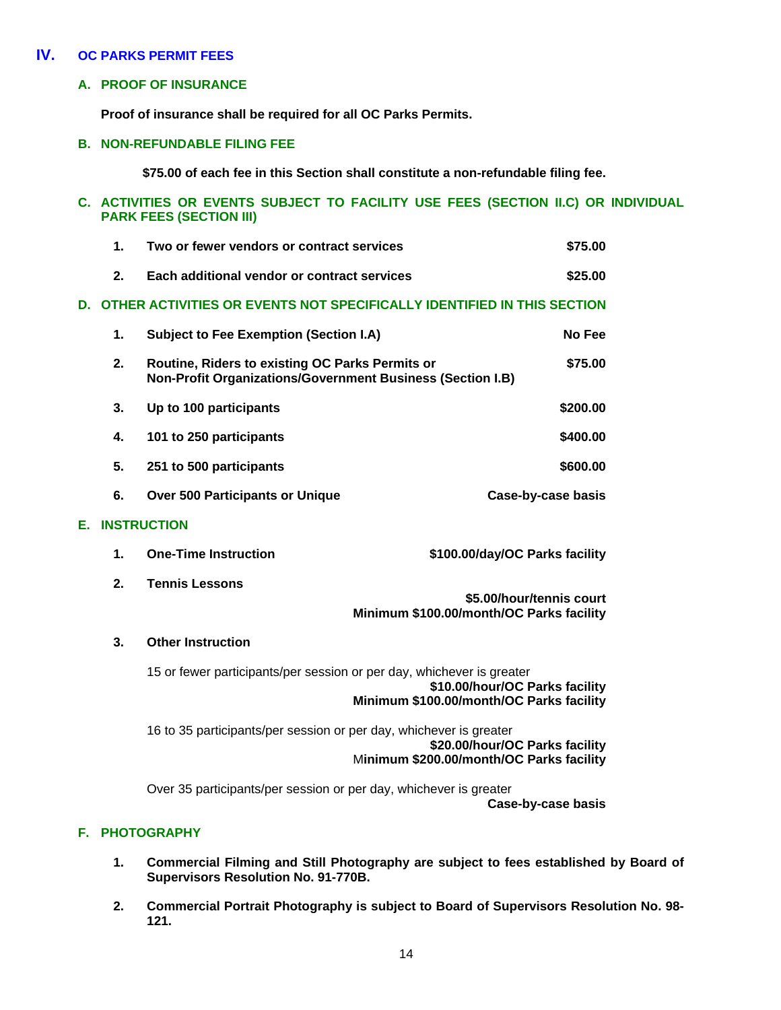# **IV. OC PARKS PERMIT FEES**

# **A. PROOF OF INSURANCE**

**Proof of insurance shall be required for all OC Parks Permits.** 

### **B. NON-REFUNDABLE FILING FEE**

 **\$75.00 of each fee in this Section shall constitute a non-refundable filing fee.** 

# **C. ACTIVITIES OR EVENTS SUBJECT TO FACILITY USE FEES (SECTION II.C) OR INDIVIDUAL PARK FEES (SECTION III)**

|    | $\mathbf{1}$ . | Two or fewer vendors or contract services                                                                            | \$75.00                        |
|----|----------------|----------------------------------------------------------------------------------------------------------------------|--------------------------------|
|    | 2.             | Each additional vendor or contract services                                                                          | \$25.00                        |
| D. |                | OTHER ACTIVITIES OR EVENTS NOT SPECIFICALLY IDENTIFIED IN THIS SECTION                                               |                                |
|    | 1.             | <b>Subject to Fee Exemption (Section I.A)</b>                                                                        | No Fee                         |
|    | 2.             | Routine, Riders to existing OC Parks Permits or<br><b>Non-Profit Organizations/Government Business (Section I.B)</b> | \$75.00                        |
|    | 3.             | Up to 100 participants                                                                                               | \$200.00                       |
|    | 4.             | 101 to 250 participants                                                                                              | \$400.00                       |
|    | 5.             | 251 to 500 participants                                                                                              | \$600.00                       |
|    | 6.             | <b>Over 500 Participants or Unique</b>                                                                               | Case-by-case basis             |
| E. |                | <b>INSTRUCTION</b>                                                                                                   |                                |
|    | 1.             | <b>One-Time Instruction</b>                                                                                          | \$100.00/day/OC Parks facility |

**2. Tennis Lessons \$5.00/hour/tennis court** 

# **Minimum \$100.00/month/OC Parks facility**

# **3. Other Instruction**

15 or fewer participants/per session or per day, whichever is greater **\$10.00/hour/OC Parks facility Minimum \$100.00/month/OC Parks facility** 

16 to 35 participants/per session or per day, whichever is greater **\$20.00/hour/OC Parks facility** M**inimum \$200.00/month/OC Parks facility** 

Over 35 participants/per session or per day, whichever is greater **Case-by-case basis** 

# **F. PHOTOGRAPHY**

- **1. Commercial Filming and Still Photography are subject to fees established by Board of Supervisors Resolution No. 91-770B.**
- **2. Commercial Portrait Photography is subject to Board of Supervisors Resolution No. 98- 121.**